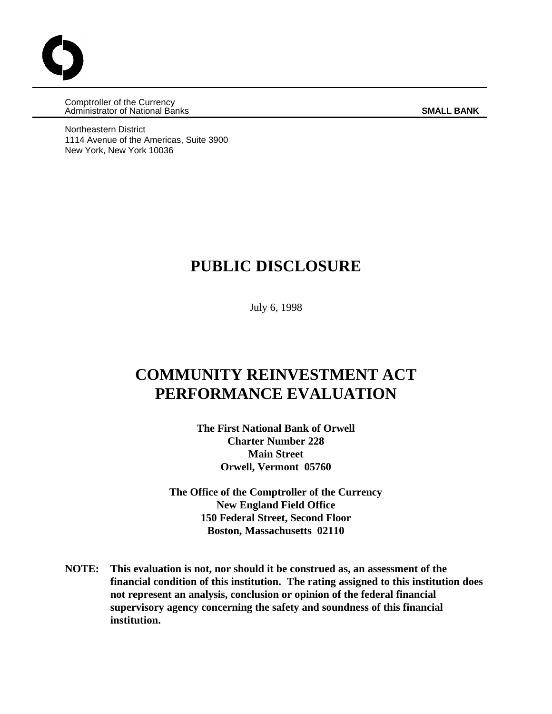Comptroller of the Currency Administrator of National Banks **SMALL BANK**

Northeastern District 1114 Avenue of the Americas, Suite 3900 New York, New York 10036

## **PUBLIC DISCLOSURE**

July 6, 1998

# **COMMUNITY REINVESTMENT ACT PERFORMANCE EVALUATION**

**The First National Bank of Orwell Charter Number 228 Main Street Orwell, Vermont 05760**

**The Office of the Comptroller of the Currency New England Field Office 150 Federal Street, Second Floor Boston, Massachusetts 02110**

**NOTE: This evaluation is not, nor should it be construed as, an assessment of the financial condition of this institution. The rating assigned to this institution does not represent an analysis, conclusion or opinion of the federal financial supervisory agency concerning the safety and soundness of this financial institution.**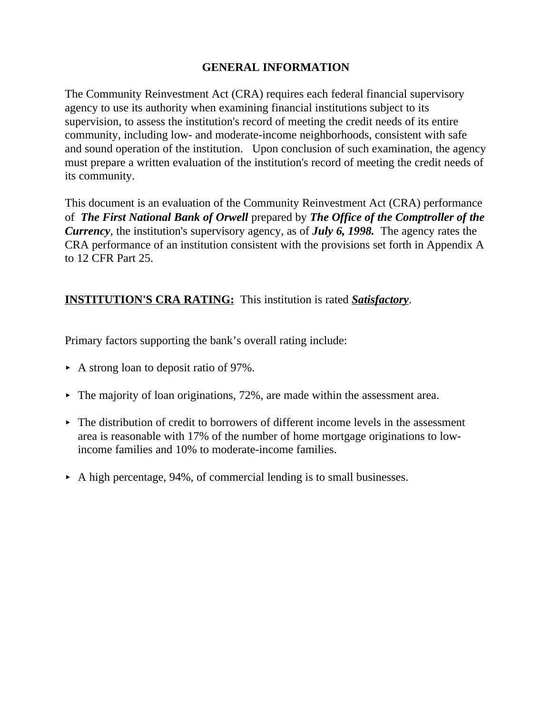### **GENERAL INFORMATION**

The Community Reinvestment Act (CRA) requires each federal financial supervisory agency to use its authority when examining financial institutions subject to its supervision, to assess the institution's record of meeting the credit needs of its entire community, including low- and moderate-income neighborhoods, consistent with safe and sound operation of the institution. Upon conclusion of such examination, the agency must prepare a written evaluation of the institution's record of meeting the credit needs of its community.

This document is an evaluation of the Community Reinvestment Act (CRA) performance of *The First National Bank of Orwell* prepared by *The Office of the Comptroller of the Currency*, the institution's supervisory agency, as of *July 6, 1998.* The agency rates the CRA performance of an institution consistent with the provisions set forth in Appendix A to 12 CFR Part 25.

## **INSTITUTION'S CRA RATING:** This institution is rated *Satisfactory*.

Primary factors supporting the bank's overall rating include:

- $\triangleright$  A strong loan to deposit ratio of 97%.
- $\blacktriangleright$  The majority of loan originations, 72%, are made within the assessment area.
- $\blacktriangleright$  The distribution of credit to borrowers of different income levels in the assessment area is reasonable with 17% of the number of home mortgage originations to lowincome families and 10% to moderate-income families.
- $\triangleright$  A high percentage, 94%, of commercial lending is to small businesses.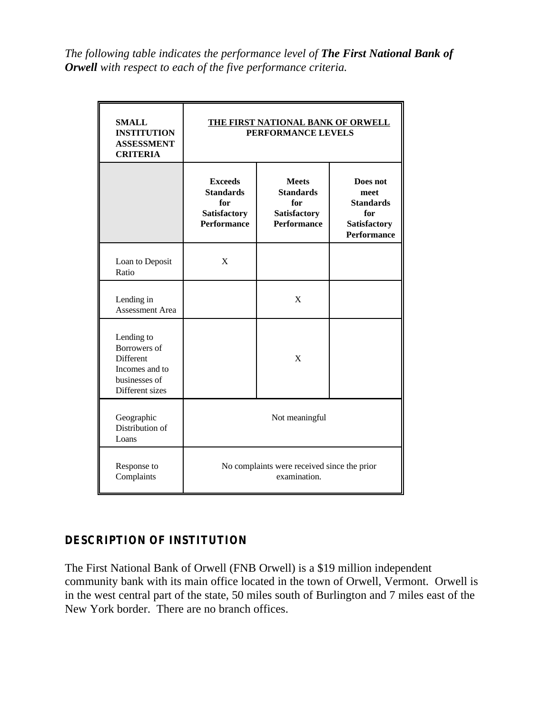*The following table indicates the performance level of The First National Bank of Orwell with respect to each of the five performance criteria.*

| <b>SMALL</b><br><b>INSTITUTION</b><br><b>ASSESSMENT</b><br><b>CRITERIA</b>                           | <b>THE FIRST NATIONAL BANK OF ORWELL</b><br>PERFORMANCE LEVELS                         |                                                                                      |                                                                                   |  |  |
|------------------------------------------------------------------------------------------------------|----------------------------------------------------------------------------------------|--------------------------------------------------------------------------------------|-----------------------------------------------------------------------------------|--|--|
|                                                                                                      | <b>Exceeds</b><br><b>Standards</b><br>for<br><b>Satisfactory</b><br><b>Performance</b> | <b>Meets</b><br><b>Standards</b><br>for<br><b>Satisfactory</b><br><b>Performance</b> | Does not<br>meet<br><b>Standards</b><br>for<br>Satisfactory<br><b>Performance</b> |  |  |
| Loan to Deposit<br>Ratio                                                                             | X                                                                                      |                                                                                      |                                                                                   |  |  |
| Lending in<br>Assessment Area                                                                        |                                                                                        | $\mathbf{X}$                                                                         |                                                                                   |  |  |
| Lending to<br>Borrowers of<br><b>Different</b><br>Incomes and to<br>businesses of<br>Different sizes |                                                                                        | $\mathbf{X}$                                                                         |                                                                                   |  |  |
| Geographic<br>Distribution of<br>Loans                                                               | Not meaningful                                                                         |                                                                                      |                                                                                   |  |  |
| Response to<br>Complaints                                                                            | No complaints were received since the prior<br>examination.                            |                                                                                      |                                                                                   |  |  |

## **DESCRIPTION OF INSTITUTION**

The First National Bank of Orwell (FNB Orwell) is a \$19 million independent community bank with its main office located in the town of Orwell, Vermont. Orwell is in the west central part of the state, 50 miles south of Burlington and 7 miles east of the New York border. There are no branch offices.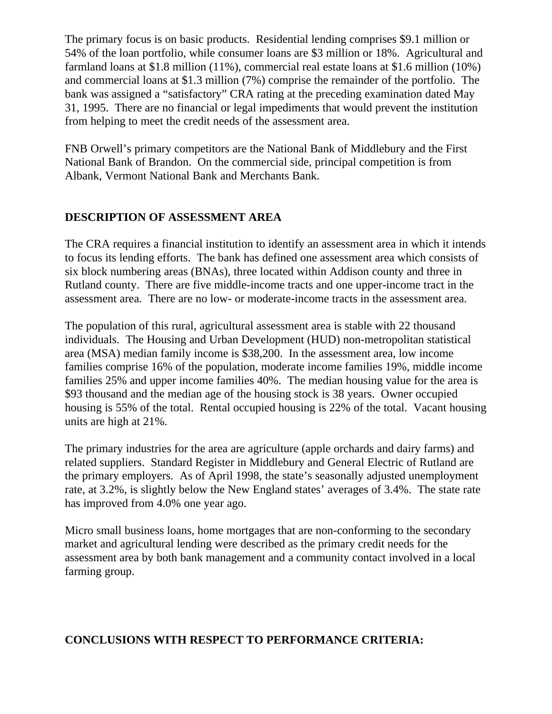The primary focus is on basic products. Residential lending comprises \$9.1 million or 54% of the loan portfolio, while consumer loans are \$3 million or 18%. Agricultural and farmland loans at \$1.8 million (11%), commercial real estate loans at \$1.6 million (10%) and commercial loans at \$1.3 million (7%) comprise the remainder of the portfolio. The bank was assigned a "satisfactory" CRA rating at the preceding examination dated May 31, 1995. There are no financial or legal impediments that would prevent the institution from helping to meet the credit needs of the assessment area.

FNB Orwell's primary competitors are the National Bank of Middlebury and the First National Bank of Brandon. On the commercial side, principal competition is from Albank, Vermont National Bank and Merchants Bank.

### **DESCRIPTION OF ASSESSMENT AREA**

The CRA requires a financial institution to identify an assessment area in which it intends to focus its lending efforts. The bank has defined one assessment area which consists of six block numbering areas (BNAs), three located within Addison county and three in Rutland county. There are five middle-income tracts and one upper-income tract in the assessment area. There are no low- or moderate-income tracts in the assessment area.

The population of this rural, agricultural assessment area is stable with 22 thousand individuals. The Housing and Urban Development (HUD) non-metropolitan statistical area (MSA) median family income is \$38,200. In the assessment area, low income families comprise 16% of the population, moderate income families 19%, middle income families 25% and upper income families 40%. The median housing value for the area is \$93 thousand and the median age of the housing stock is 38 years. Owner occupied housing is 55% of the total. Rental occupied housing is 22% of the total. Vacant housing units are high at 21%.

The primary industries for the area are agriculture (apple orchards and dairy farms) and related suppliers. Standard Register in Middlebury and General Electric of Rutland are the primary employers. As of April 1998, the state's seasonally adjusted unemployment rate, at 3.2%, is slightly below the New England states' averages of 3.4%. The state rate has improved from 4.0% one year ago.

Micro small business loans, home mortgages that are non-conforming to the secondary market and agricultural lending were described as the primary credit needs for the assessment area by both bank management and a community contact involved in a local farming group.

#### **CONCLUSIONS WITH RESPECT TO PERFORMANCE CRITERIA:**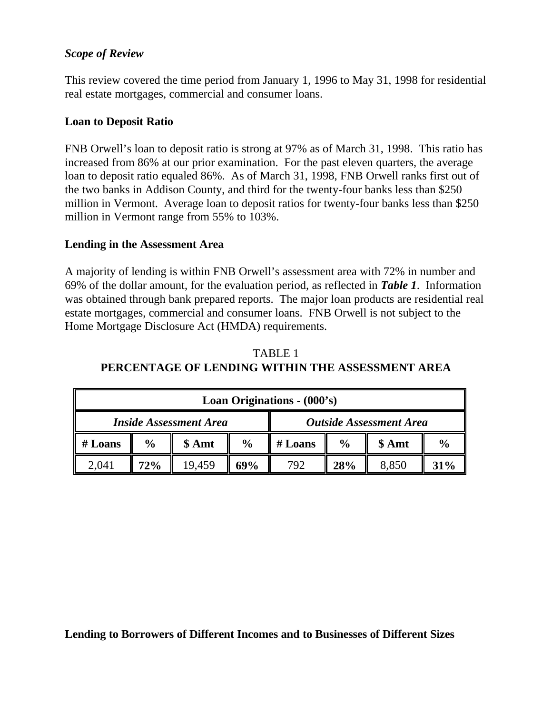#### *Scope of Review*

This review covered the time period from January 1, 1996 to May 31, 1998 for residential real estate mortgages, commercial and consumer loans.

#### **Loan to Deposit Ratio**

FNB Orwell's loan to deposit ratio is strong at 97% as of March 31, 1998. This ratio has increased from 86% at our prior examination. For the past eleven quarters, the average loan to deposit ratio equaled 86%. As of March 31, 1998, FNB Orwell ranks first out of the two banks in Addison County, and third for the twenty-four banks less than \$250 million in Vermont. Average loan to deposit ratios for twenty-four banks less than \$250 million in Vermont range from 55% to 103%.

#### **Lending in the Assessment Area**

A majority of lending is within FNB Orwell's assessment area with 72% in number and 69% of the dollar amount, for the evaluation period, as reflected in *Table 1*. Information was obtained through bank prepared reports. The major loan products are residential real estate mortgages, commercial and consumer loans. FNB Orwell is not subject to the Home Mortgage Disclosure Act (HMDA) requirements.

## TABLE 1 **PERCENTAGE OF LENDING WITHIN THE ASSESSMENT AREA**

| Loan Originations - (000's)   |               |        |                                |         |               |        |               |
|-------------------------------|---------------|--------|--------------------------------|---------|---------------|--------|---------------|
| <b>Inside Assessment Area</b> |               |        | <b>Outside Assessment Area</b> |         |               |        |               |
| $#$ Loans                     | $\frac{0}{0}$ | \$ Amt | $\frac{6}{6}$                  | # Loans | $\frac{0}{0}$ | \$ Amt | $\frac{6}{6}$ |
| 2.041                         | 72%           | 19.459 | 69%                            | 792     | 28%           | 8.850  | 31%           |

**Lending to Borrowers of Different Incomes and to Businesses of Different Sizes**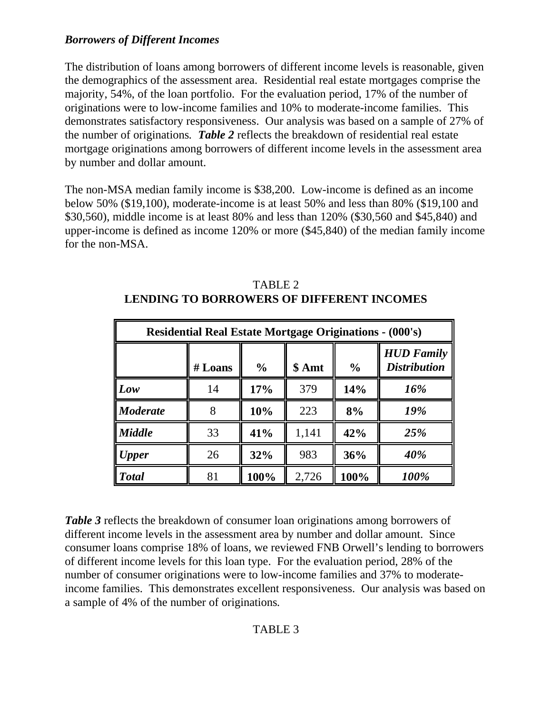## *Borrowers of Different Incomes*

The distribution of loans among borrowers of different income levels is reasonable, given the demographics of the assessment area. Residential real estate mortgages comprise the majority, 54%, of the loan portfolio. For the evaluation period, 17% of the number of originations were to low-income families and 10% to moderate-income families. This demonstrates satisfactory responsiveness. Our analysis was based on a sample of 27% of the number of originations*. Table 2* reflects the breakdown of residential real estate mortgage originations among borrowers of different income levels in the assessment area by number and dollar amount.

The non-MSA median family income is \$38,200. Low-income is defined as an income below 50% (\$19,100), moderate-income is at least 50% and less than 80% (\$19,100 and \$30,560), middle income is at least 80% and less than 120% (\$30,560 and \$45,840) and upper-income is defined as income 120% or more (\$45,840) of the median family income for the non-MSA.

| <b>Residential Real Estate Mortgage Originations - (000's)</b> |         |               |        |               |                                          |
|----------------------------------------------------------------|---------|---------------|--------|---------------|------------------------------------------|
|                                                                | # Loans | $\frac{0}{0}$ | \$ Amt | $\frac{6}{6}$ | <b>HUD Family</b><br><b>Distribution</b> |
| Low                                                            | 14      | 17%           | 379    | 14%           | 16%                                      |
| <b>Moderate</b>                                                |         | 10%           | 223    | 8%            | 19%                                      |
| <b>Middle</b>                                                  | 33      | 41%           | 1,141  | 42%           | 25%                                      |
| $\blacksquare$ Upper                                           | 26      | 32%           | 983    | 36%           | 40%                                      |
| <b>Total</b>                                                   | 81      | 100%          | 2,726  | 100%          | 100%                                     |

TABLE 2 **LENDING TO BORROWERS OF DIFFERENT INCOMES**

*Table 3* reflects the breakdown of consumer loan originations among borrowers of different income levels in the assessment area by number and dollar amount. Since consumer loans comprise 18% of loans, we reviewed FNB Orwell's lending to borrowers of different income levels for this loan type. For the evaluation period, 28% of the number of consumer originations were to low-income families and 37% to moderateincome families. This demonstrates excellent responsiveness. Our analysis was based on a sample of 4% of the number of originations*.*